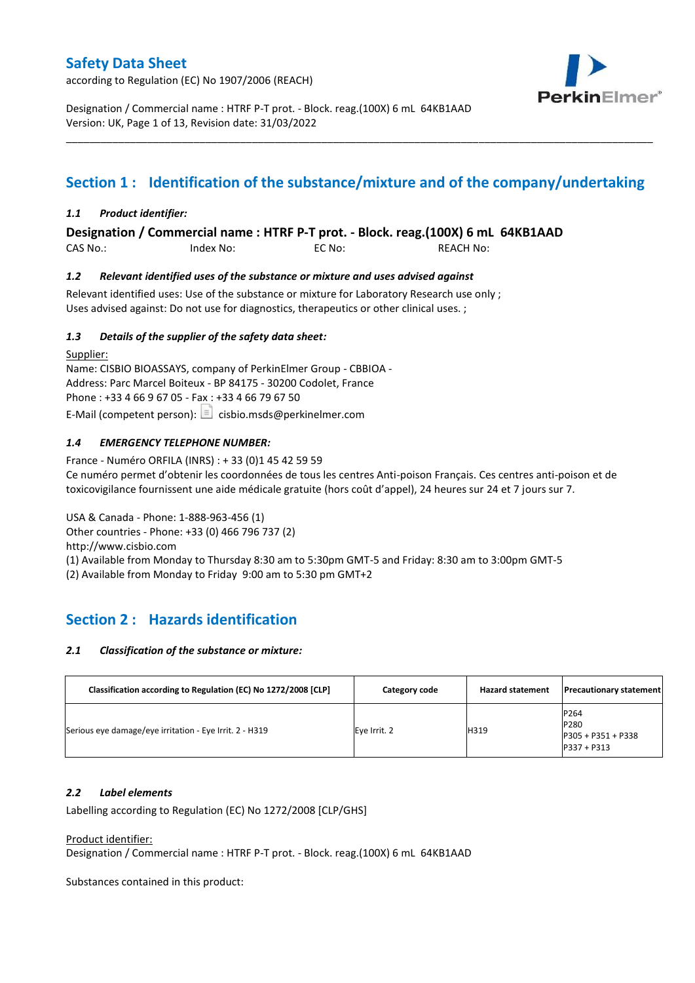according to Regulation (EC) No 1907/2006 (REACH)



Designation / Commercial name : HTRF P-T prot. - Block. reag.(100X) 6 mL 64KB1AAD Version: UK, Page 1 of 13, Revision date: 31/03/2022

## **Section 1 : Identification of the substance/mixture and of the company/undertaking**

\_\_\_\_\_\_\_\_\_\_\_\_\_\_\_\_\_\_\_\_\_\_\_\_\_\_\_\_\_\_\_\_\_\_\_\_\_\_\_\_\_\_\_\_\_\_\_\_\_\_\_\_\_\_\_\_\_\_\_\_\_\_\_\_\_\_\_\_\_\_\_\_\_\_\_\_\_\_\_\_\_\_\_\_\_\_\_\_\_\_\_\_\_\_\_\_\_\_\_\_\_

### *1.1 Product identifier:*

**Designation / Commercial name : HTRF P-T prot. - Block. reag.(100X) 6 mL 64KB1AAD** 

CAS No.: Index No: EC No: REACH No:

### *1.2 Relevant identified uses of the substance or mixture and uses advised against*

Relevant identified uses: Use of the substance or mixture for Laboratory Research use only ; Uses advised against: Do not use for diagnostics, therapeutics or other clinical uses. ;

### *1.3 Details of the supplier of the safety data sheet:*

Supplier: Name: CISBIO BIOASSAYS, company of PerkinElmer Group - CBBIOA - Address: Parc Marcel Boiteux - BP 84175 - 30200 Codolet, France Phone : +33 4 66 9 67 05 - Fax : +33 4 66 79 67 50 E-Mail (competent person):  $\Box$  cisbio.msds@perkinelmer.com

## *1.4 EMERGENCY TELEPHONE NUMBER:*

France - Numéro ORFILA (INRS) : + 33 (0)1 45 42 59 59 Ce numéro permet d'obtenir les coordonnées de tous les centres Anti-poison Français. Ces centres anti-poison et de toxicovigilance fournissent une aide médicale gratuite (hors coût d'appel), 24 heures sur 24 et 7 jours sur 7.

USA & Canada - Phone: 1-888-963-456 (1)

Other countries - Phone: +33 (0) 466 796 737 (2)

http://www.cisbio.com

(1) Available from Monday to Thursday 8:30 am to 5:30pm GMT-5 and Friday: 8:30 am to 3:00pm GMT-5

(2) Available from Monday to Friday 9:00 am to 5:30 pm GMT+2

## **Section 2 : Hazards identification**

## *2.1 Classification of the substance or mixture:*

| Classification according to Regulation (EC) No 1272/2008 [CLP] | Category code | <b>Hazard statement</b> | <b>Precautionary statement</b>                      |
|----------------------------------------------------------------|---------------|-------------------------|-----------------------------------------------------|
| Serious eye damage/eye irritation - Eye Irrit. 2 - H319        | Eye Irrit. 2  | H319                    | P264<br>P280<br>P305 + P351 + P338<br>$P337 + P313$ |

#### *2.2 Label elements*

Labelling according to Regulation (EC) No 1272/2008 [CLP/GHS]

Product identifier:

Designation / Commercial name : HTRF P-T prot. - Block. reag.(100X) 6 mL 64KB1AAD

Substances contained in this product: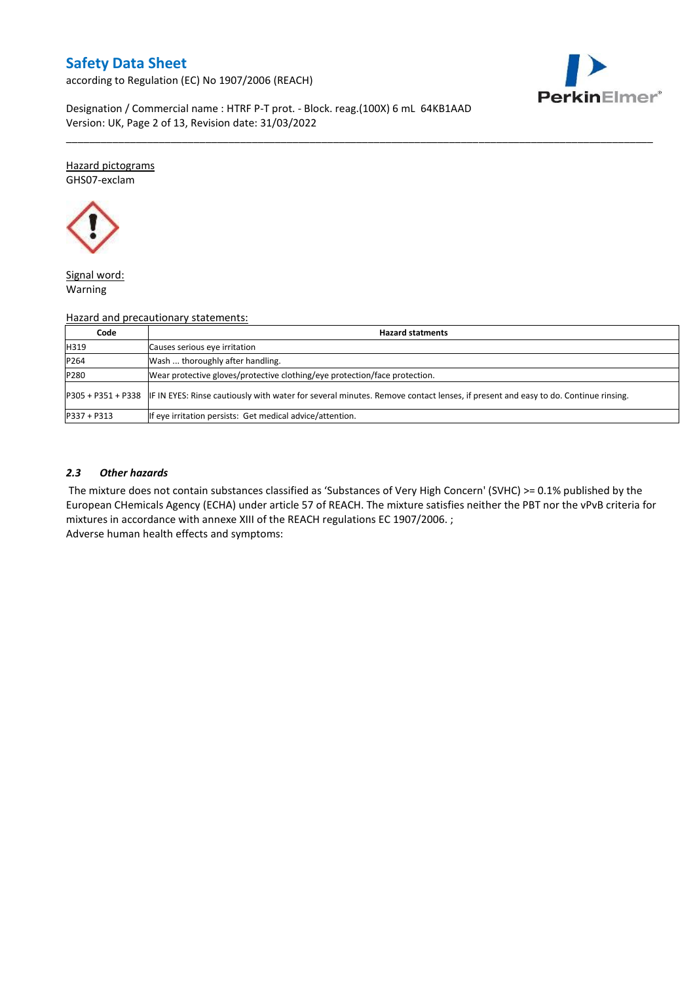according to Regulation (EC) No 1907/2006 (REACH)



Designation / Commercial name : HTRF P-T prot. - Block. reag.(100X) 6 mL 64KB1AAD Version: UK, Page 2 of 13, Revision date: 31/03/2022

Hazard pictograms GHS07-exclam



Signal word: Warning

#### Hazard and precautionary statements:

| Code          | <b>Hazard statments</b>                                                                                                                             |
|---------------|-----------------------------------------------------------------------------------------------------------------------------------------------------|
| H319          | Causes serious eye irritation                                                                                                                       |
| P264          | Wash  thoroughly after handling.                                                                                                                    |
| P280          | Wear protective gloves/protective clothing/eye protection/face protection.                                                                          |
|               | P305 + P351 + P338 IF IN EYES: Rinse cautiously with water for several minutes. Remove contact lenses, if present and easy to do. Continue rinsing. |
| $P337 + P313$ | If eye irritation persists: Get medical advice/attention.                                                                                           |

\_\_\_\_\_\_\_\_\_\_\_\_\_\_\_\_\_\_\_\_\_\_\_\_\_\_\_\_\_\_\_\_\_\_\_\_\_\_\_\_\_\_\_\_\_\_\_\_\_\_\_\_\_\_\_\_\_\_\_\_\_\_\_\_\_\_\_\_\_\_\_\_\_\_\_\_\_\_\_\_\_\_\_\_\_\_\_\_\_\_\_\_\_\_\_\_\_\_\_\_\_

### *2.3 Other hazards*

The mixture does not contain substances classified as 'Substances of Very High Concern' (SVHC) >= 0.1% published by the European CHemicals Agency (ECHA) under article 57 of REACH. The mixture satisfies neither the PBT nor the vPvB criteria for mixtures in accordance with annexe XIII of the REACH regulations EC 1907/2006. ; Adverse human health effects and symptoms: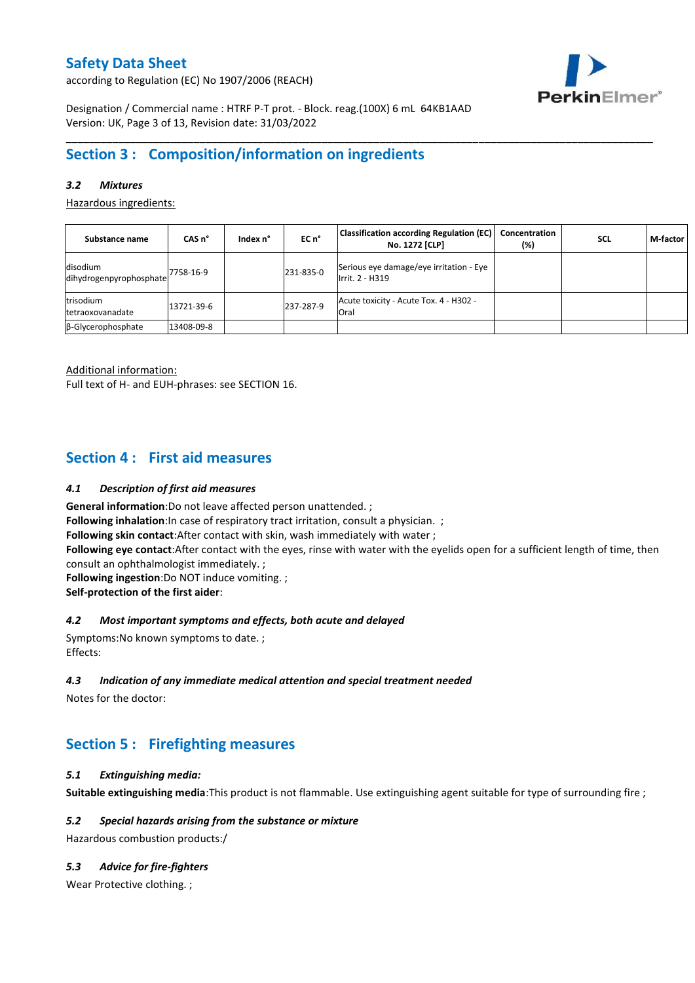according to Regulation (EC) No 1907/2006 (REACH)



Designation / Commercial name : HTRF P-T prot. - Block. reag.(100X) 6 mL 64KB1AAD Version: UK, Page 3 of 13, Revision date: 31/03/2022

## **Section 3 : Composition/information on ingredients**

## *3.2 Mixtures*

Hazardous ingredients:

| Substance name                      | CAS <sub>n</sub> ° | Index n° | $ECn$ <sup>°</sup> | <b>Classification according Regulation (EC)</b><br>No. 1272 [CLP] | Concentration<br>(%) | <b>SCL</b> | M-factor |
|-------------------------------------|--------------------|----------|--------------------|-------------------------------------------------------------------|----------------------|------------|----------|
| disodium<br>dihydrogenpyrophosphate | 7758-16-9          |          | 231-835-0          | Serious eye damage/eye irritation - Eye<br>Irrit. 2 - H319        |                      |            |          |
| trisodium<br>tetraoxovanadate       | 13721-39-6         |          | 237-287-9          | Acute toxicity - Acute Tox. 4 - H302 -<br>Oral                    |                      |            |          |
| B-Glycerophosphate                  | 13408-09-8         |          |                    |                                                                   |                      |            |          |

\_\_\_\_\_\_\_\_\_\_\_\_\_\_\_\_\_\_\_\_\_\_\_\_\_\_\_\_\_\_\_\_\_\_\_\_\_\_\_\_\_\_\_\_\_\_\_\_\_\_\_\_\_\_\_\_\_\_\_\_\_\_\_\_\_\_\_\_\_\_\_\_\_\_\_\_\_\_\_\_\_\_\_\_\_\_\_\_\_\_\_\_\_\_\_\_\_\_\_\_\_

Additional information: Full text of H- and EUH-phrases: see SECTION 16.

## **Section 4 : First aid measures**

### *4.1 Description of first aid measures*

**General information**:Do not leave affected person unattended. ;

**Following inhalation:**In case of respiratory tract irritation, consult a physician. ;

**Following skin contact**:After contact with skin, wash immediately with water ;

**Following eye contact**:After contact with the eyes, rinse with water with the eyelids open for a sufficient length of time, then consult an ophthalmologist immediately. ;

**Following ingestion**:Do NOT induce vomiting. ; **Self-protection of the first aider**:

#### *4.2 Most important symptoms and effects, both acute and delayed*

Symptoms:No known symptoms to date. ; Effects:

#### *4.3 Indication of any immediate medical attention and special treatment needed*

Notes for the doctor:

## **Section 5 : Firefighting measures**

#### *5.1 Extinguishing media:*

**Suitable extinguishing media**:This product is not flammable. Use extinguishing agent suitable for type of surrounding fire ;

### *5.2 Special hazards arising from the substance or mixture*

Hazardous combustion products:/

## *5.3 Advice for fire-fighters*

Wear Protective clothing.;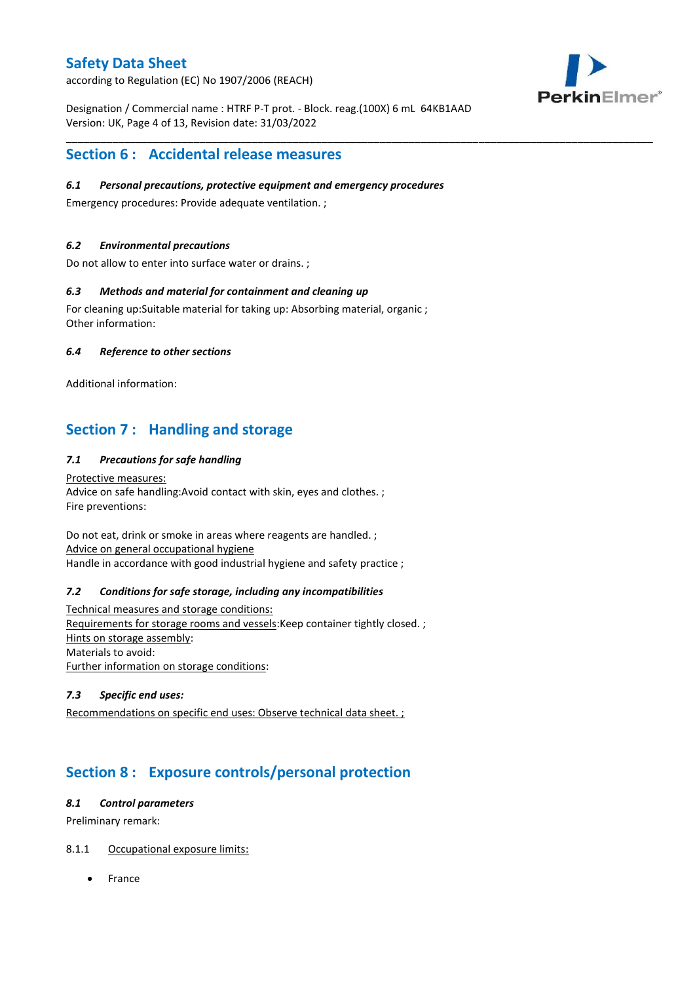according to Regulation (EC) No 1907/2006 (REACH)



Designation / Commercial name : HTRF P-T prot. - Block. reag.(100X) 6 mL 64KB1AAD Version: UK, Page 4 of 13, Revision date: 31/03/2022

\_\_\_\_\_\_\_\_\_\_\_\_\_\_\_\_\_\_\_\_\_\_\_\_\_\_\_\_\_\_\_\_\_\_\_\_\_\_\_\_\_\_\_\_\_\_\_\_\_\_\_\_\_\_\_\_\_\_\_\_\_\_\_\_\_\_\_\_\_\_\_\_\_\_\_\_\_\_\_\_\_\_\_\_\_\_\_\_\_\_\_\_\_\_\_\_\_\_\_\_\_

## **Section 6 : Accidental release measures**

## *6.1 Personal precautions, protective equipment and emergency procedures*

Emergency procedures: Provide adequate ventilation. ;

## *6.2 Environmental precautions*

Do not allow to enter into surface water or drains. ;

### *6.3 Methods and material for containment and cleaning up*

For cleaning up:Suitable material for taking up: Absorbing material, organic ; Other information:

### *6.4 Reference to other sections*

Additional information:

## **Section 7 : Handling and storage**

## *7.1 Precautions for safe handling*

Protective measures: Advice on safe handling:Avoid contact with skin, eyes and clothes. ; Fire preventions:

Do not eat, drink or smoke in areas where reagents are handled. ; Advice on general occupational hygiene Handle in accordance with good industrial hygiene and safety practice ;

#### *7.2 Conditions for safe storage, including any incompatibilities*

Technical measures and storage conditions: Requirements for storage rooms and vessels:Keep container tightly closed. ; Hints on storage assembly: Materials to avoid: Further information on storage conditions:

### *7.3 Specific end uses:*

Recommendations on specific end uses: Observe technical data sheet. ;

## **Section 8 : Exposure controls/personal protection**

### *8.1 Control parameters*

Preliminary remark:

## 8.1.1 Occupational exposure limits:

France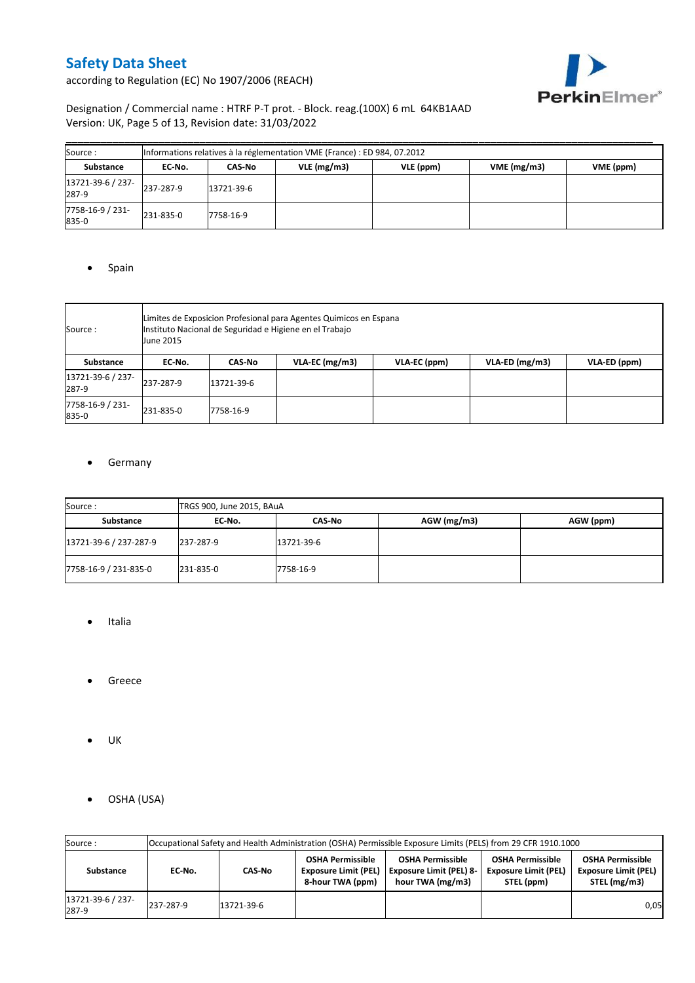

according to Regulation (EC) No 1907/2006 (REACH)

## Designation / Commercial name : HTRF P-T prot. - Block. reag.(100X) 6 mL 64KB1AAD Version: UK, Page 5 of 13, Revision date: 31/03/2022

| Source:                    |           |            | Informations relatives à la réglementation VME (France) : ED 984, 07.2012 |           |            |           |
|----------------------------|-----------|------------|---------------------------------------------------------------------------|-----------|------------|-----------|
| <b>Substance</b>           | EC No.    | CAS-No     | $VLE$ (mg/m3)                                                             | VLE (ppm) | VME(mg/m3) | VME (ppm) |
| 13721-39-6 / 237-<br>287-9 | 237-287-9 | 13721-39-6 |                                                                           |           |            |           |
| 7758-16-9 / 231-<br>835-0  | 231-835-0 | 7758-16-9  |                                                                           |           |            |           |

### • Spain

| Source :                   | June 2015 | Limites de Exposicion Profesional para Agentes Quimicos en Espana<br>Instituto Nacional de Seguridad e Higiene en el Trabajo |  |  |  |  |  |  |  |  |  |
|----------------------------|-----------|------------------------------------------------------------------------------------------------------------------------------|--|--|--|--|--|--|--|--|--|
| Substance                  | EC-No.    | $VLA-ED$ (mg/m3)<br>VLA-EC ( $mg/m3$ )<br>VLA-EC (ppm)<br>VLA-ED (ppm)<br><b>CAS-No</b>                                      |  |  |  |  |  |  |  |  |  |
| 13721-39-6 / 237-<br>287-9 | 237-287-9 | 13721-39-6                                                                                                                   |  |  |  |  |  |  |  |  |  |
| 7758-16-9 / 231-<br>835-0  | 231-835-0 | 7758-16-9                                                                                                                    |  |  |  |  |  |  |  |  |  |

## **•** Germany

| Source:                | TRGS 900, June 2015, BAuA |            |               |           |  |  |  |
|------------------------|---------------------------|------------|---------------|-----------|--|--|--|
| Substance              | EC No.                    | CAS-No     | $AGW$ (mg/m3) | AGW (ppm) |  |  |  |
| 13721-39-6 / 237-287-9 | 237-287-9                 | 13721-39-6 |               |           |  |  |  |
| 7758-16-9 / 231-835-0  | 231-835-0                 | 7758-16-9  |               |           |  |  |  |

- Italia
- **•** Greece
- $\bullet$  UK
- OSHA (USA)

| Source:                    | Occupational Safety and Health Administration (OSHA) Permissible Exposure Limits (PELS) from 29 CFR 1910.1000 |            |                                                                            |                                                                               |                                                                      |                                                                        |  |
|----------------------------|---------------------------------------------------------------------------------------------------------------|------------|----------------------------------------------------------------------------|-------------------------------------------------------------------------------|----------------------------------------------------------------------|------------------------------------------------------------------------|--|
| Substance                  | EC-No.                                                                                                        | CAS-No     | <b>OSHA Permissible</b><br><b>Exposure Limit (PEL)</b><br>8-hour TWA (ppm) | <b>OSHA Permissible</b><br><b>Exposure Limit (PEL) 8-</b><br>hour TWA (mg/m3) | <b>OSHA Permissible</b><br><b>Exposure Limit (PEL)</b><br>STEL (ppm) | <b>OSHA Permissible</b><br><b>Exposure Limit (PEL)</b><br>STEL (mg/m3) |  |
| 13721-39-6 / 237-<br>287-9 | 237-287-9                                                                                                     | 13721-39-6 |                                                                            |                                                                               |                                                                      | 0,05                                                                   |  |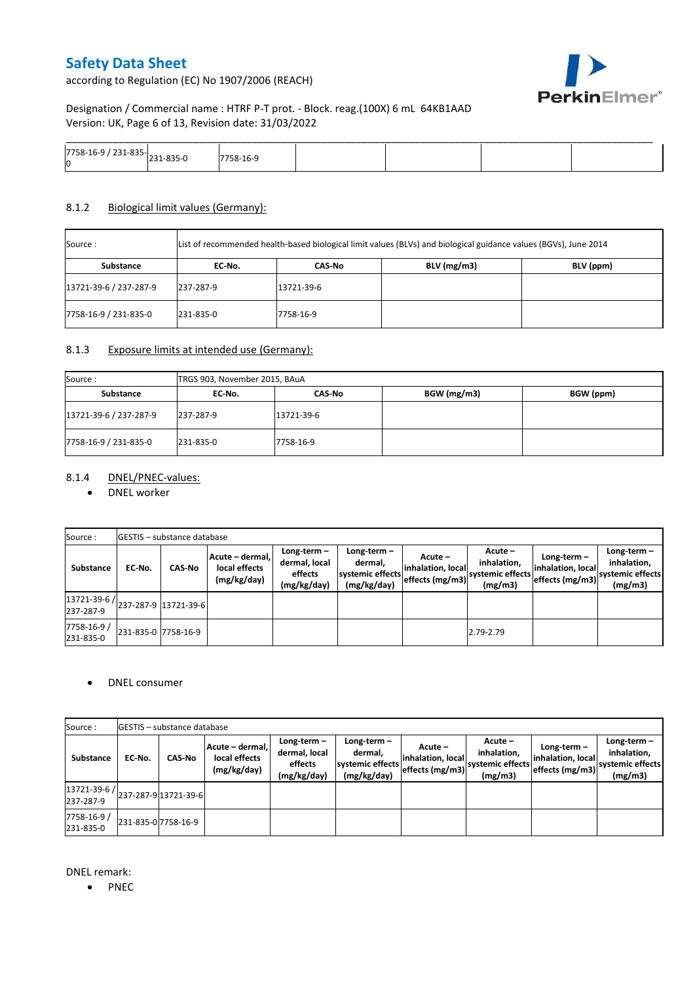according to Regulation (EC) No 1907/2006 (REACH)



Designation / Commercial name : HTRF P-T prot. - Block. reag.(100X) 6 mL 64KB1AAD Version: UK, Page 6 of 13, Revision date: 31/03/2022

| ワフロ<br>י <sub>1921 בכבר</sub> ככס-211 / 58-16-71.<br>Ю | n-- |  |  |
|--------------------------------------------------------|-----|--|--|

#### 8.1.2 Biological limit values (Germany):

| Source :               | List of recommended health-based biological limit values (BLVs) and biological guidance values (BGVs), June 2014 |            |               |           |
|------------------------|------------------------------------------------------------------------------------------------------------------|------------|---------------|-----------|
| Substance              | EC No.                                                                                                           | CAS No     | $BLV$ (mg/m3) | BLV (ppm) |
| 13721-39-6 / 237-287-9 | 237-287-9                                                                                                        | 13721-39-6 |               |           |
| 7758-16-9 / 231-835-0  | 231-835-0                                                                                                        | 7758-16-9  |               |           |

### 8.1.3 Exposure limits at intended use (Germany):

| Source:                | TRGS 903, November 2015, BAuA |            |             |           |  |  |  |
|------------------------|-------------------------------|------------|-------------|-----------|--|--|--|
| Substance              | EC No.                        | CAS-No     | BGW (mg/m3) | BGW (ppm) |  |  |  |
| 13721-39-6 / 237-287-9 | 237-287-9                     | 13721-39-6 |             |           |  |  |  |
| 7758-16-9 / 231-835-0  | 231-835-0                     | 7758-16-9  |             |           |  |  |  |

## 8.1.4 DNEL/PNEC-values:

### • DNEL worker

| Source:                                                                                       |                     | <b>GESTIS</b> - substance database |                                                 |                                                          |                                                           |                                                   |                                                         |                                                     |                                                             |
|-----------------------------------------------------------------------------------------------|---------------------|------------------------------------|-------------------------------------------------|----------------------------------------------------------|-----------------------------------------------------------|---------------------------------------------------|---------------------------------------------------------|-----------------------------------------------------|-------------------------------------------------------------|
| Substance                                                                                     | EC-No.              | <b>CAS No</b>                      | Acute - dermal,<br>local effects<br>(mg/kg/day) | Long-term $-$<br>dermal, local<br>effects<br>(mg/kg/day) | Long-term -<br>dermal.<br>systemic effects<br>(mg/kg/day) | Acute -<br>linhalation. locall<br>effects (mg/m3) | $Acute -$<br>inhalation,<br>systemic effects<br>(mg/m3) | Long-term –<br>inhalation, local<br>effects (mg/m3) | $Long-term -$<br>inhalation,<br>systemic effects<br>(mg/m3) |
| $\left  \frac{13721 \cdot 39 \cdot 6}{237 \cdot 287 \cdot 9} \right $ 13721-39-6<br>237-287-9 |                     |                                    |                                                 |                                                          |                                                           |                                                   |                                                         |                                                     |                                                             |
| 7758-16-9 /<br>231-835-0                                                                      | 231-835-0 7758-16-9 |                                    |                                                 |                                                          |                                                           |                                                   | 2.79-2.79                                               |                                                     |                                                             |

### DNEL consumer

| Source:                                              |                     | <b>GESTIS</b> - substance database |                                                 |                                                          |                                                             |                                                 |                                                       |                                                    |                                                             |
|------------------------------------------------------|---------------------|------------------------------------|-------------------------------------------------|----------------------------------------------------------|-------------------------------------------------------------|-------------------------------------------------|-------------------------------------------------------|----------------------------------------------------|-------------------------------------------------------------|
| Substance                                            | EC No.              | <b>CAS-No</b>                      | Acute - dermal,<br>local effects<br>(mg/kg/day) | $Long-term -$<br>dermal, local<br>effects<br>(mg/kg/day) | Long-term $-$<br>dermal,<br>systemic effects<br>(mg/kg/day) | Acute –<br>inhalation, local<br>effects (mg/m3) | Acute -<br>inhalation,<br>systemic effects<br>(mg/m3) | Long-term-<br>inhalation, local<br>effects (mg/m3) | Long-term $-$<br>inhalation,<br>systemic effects<br>(mg/m3) |
| $ 13721-39-6 $ $ 237-287-9 13721-39-6 $<br>237-287-9 |                     |                                    |                                                 |                                                          |                                                             |                                                 |                                                       |                                                    |                                                             |
| 7758-16-9 /<br>231-835-0                             | 231-835-0 7758-16-9 |                                    |                                                 |                                                          |                                                             |                                                 |                                                       |                                                    |                                                             |

DNEL remark:

• PNEC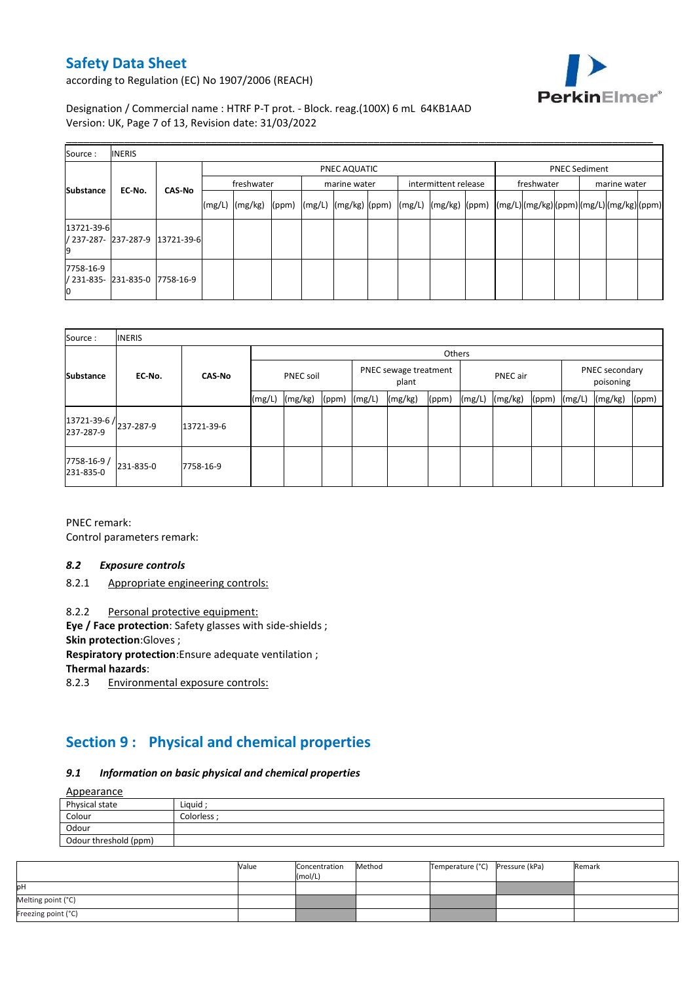

according to Regulation (EC) No 1907/2006 (REACH)

Designation / Commercial name : HTRF P-T prot. - Block. reag.(100X) 6 mL 64KB1AAD Version: UK, Page 7 of 13, Revision date: 31/03/2022

| Source:          | <b>INERIS</b>                  |                                 |                                                                    |  |  |  |  |  |  |                                      |            |  |  |  |  |
|------------------|--------------------------------|---------------------------------|--------------------------------------------------------------------|--|--|--|--|--|--|--------------------------------------|------------|--|--|--|--|
| <b>Substance</b> |                                |                                 | PNEC AQUATIC<br>freshwater<br>intermittent release<br>marine water |  |  |  |  |  |  | <b>PNEC Sediment</b><br>marine water |            |  |  |  |  |
|                  | EC-No.                         | <b>CAS-No</b>                   |                                                                    |  |  |  |  |  |  |                                      | freshwater |  |  |  |  |
| 13721-39-6       |                                | / 237-287- 237-287-9 13721-39-6 |                                                                    |  |  |  |  |  |  |                                      |            |  |  |  |  |
| 7758-16-9        | / 231-835- 231-835-0 7758-16-9 |                                 |                                                                    |  |  |  |  |  |  |                                      |            |  |  |  |  |

| Source:                             | <b>INERIS</b> |               |        |                  |       |        |                                |        |        |                 |       |           |                |       |  |  |
|-------------------------------------|---------------|---------------|--------|------------------|-------|--------|--------------------------------|--------|--------|-----------------|-------|-----------|----------------|-------|--|--|
|                                     |               |               |        |                  |       |        |                                | Others |        |                 |       |           | PNEC secondary |       |  |  |
| <b>Substance</b>                    | EC-No.        | <b>CAS-No</b> |        | <b>PNEC soil</b> |       |        | PNEC sewage treatment<br>plant |        |        | <b>PNEC</b> air |       | poisoning |                |       |  |  |
|                                     |               |               | (mg/L) | (mg/kg)          | (ppm) | (mg/L) | (mg/kg)                        | (ppm)  | (mg/L) | (mg/kg)         | (ppm) | (mg/L)    | (mg/kg)        | (ppm) |  |  |
| 13721-39-6 / 237-287-9<br>237-287-9 |               | 13721-39-6    |        |                  |       |        |                                |        |        |                 |       |           |                |       |  |  |
| 7758-16-9/<br>231-835-0             | 231-835-0     | 7758-16-9     |        |                  |       |        |                                |        |        |                 |       |           |                |       |  |  |

PNEC remark: Control parameters remark:

#### *8.2 Exposure controls*

8.2.1 Appropriate engineering controls:

8.2.2 Personal protective equipment:

**Eye / Face protection**: Safety glasses with side-shields ;

**Skin protection**:Gloves ;

**Respiratory protection**:Ensure adequate ventilation ;

**Thermal hazards**:

8.2.3 Environmental exposure controls:

# **Section 9 : Physical and chemical properties**

#### *9.1 Information on basic physical and chemical properties*

 $A = 22$ 

| Appearance            |            |
|-----------------------|------------|
| Physical state        | Liquid     |
| Colour                | Colorless: |
| Odour                 |            |
| Odour threshold (ppm) |            |

|                     | Value | Concentration<br>(mol/L) | Method | Temperature (°C) | Pressure (kPa) | Remark |
|---------------------|-------|--------------------------|--------|------------------|----------------|--------|
| <b>l</b> pH         |       |                          |        |                  |                |        |
| Melting point (°C)  |       |                          |        |                  |                |        |
| Freezing point (°C) |       |                          |        |                  |                |        |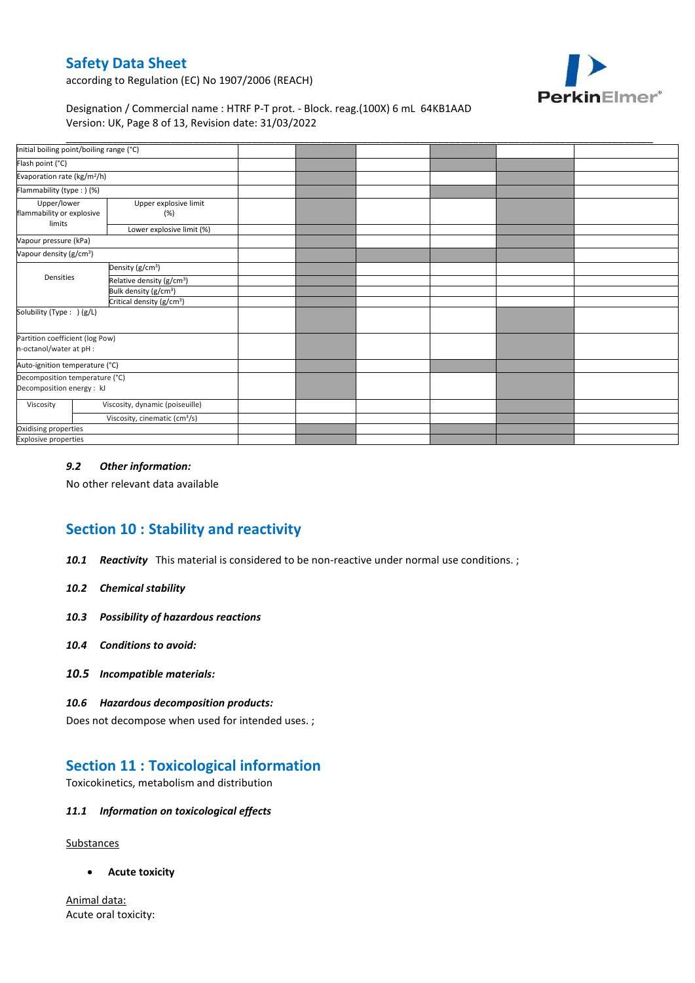

according to Regulation (EC) No 1907/2006 (REACH)

### Designation / Commercial name : HTRF P-T prot. - Block. reag.(100X) 6 mL 64KB1AAD Version: UK, Page 8 of 13, Revision date: 31/03/2022

| Initial boiling point/boiling range (°C)                    |                                           |  |  |  |
|-------------------------------------------------------------|-------------------------------------------|--|--|--|
| Flash point (°C)                                            |                                           |  |  |  |
| Evaporation rate (kg/m <sup>2</sup> /h)                     |                                           |  |  |  |
| Flammability (type:) (%)                                    |                                           |  |  |  |
| Upper/lower<br>flammability or explosive<br>limits          | Upper explosive limit<br>(%)              |  |  |  |
|                                                             | Lower explosive limit (%)                 |  |  |  |
| Vapour pressure (kPa)                                       |                                           |  |  |  |
| Vapour density (g/cm <sup>3</sup> )                         |                                           |  |  |  |
|                                                             | Density (g/cm <sup>3</sup> )              |  |  |  |
| Densities                                                   | Relative density (g/cm <sup>3</sup> )     |  |  |  |
|                                                             | Bulk density (g/cm <sup>3</sup> )         |  |  |  |
|                                                             | Critical density (g/cm <sup>3</sup> )     |  |  |  |
| Solubility (Type: ) (g/L)                                   |                                           |  |  |  |
| Partition coefficient (log Pow)<br>n-octanol/water at pH :  |                                           |  |  |  |
| Auto-ignition temperature (°C)                              |                                           |  |  |  |
| Decomposition temperature (°C)<br>Decomposition energy : kJ |                                           |  |  |  |
| Viscosity                                                   | Viscosity, dynamic (poiseuille)           |  |  |  |
|                                                             | Viscosity, cinematic (cm <sup>3</sup> /s) |  |  |  |
| Oxidising properties                                        |                                           |  |  |  |
| <b>Explosive properties</b>                                 |                                           |  |  |  |

#### *9.2 Other information:*

No other relevant data available

## **Section 10 : Stability and reactivity**

- *10.1 Reactivity* This material is considered to be non-reactive under normal use conditions. ;
- *10.2 Chemical stability*
- *10.3 Possibility of hazardous reactions*
- *10.4 Conditions to avoid:*
- *10.5 Incompatible materials:*

#### *10.6 Hazardous decomposition products:*

Does not decompose when used for intended uses. ;

## **Section 11 : Toxicological information**

Toxicokinetics, metabolism and distribution

### *11.1 Information on toxicological effects*

**Substances** 

**Acute toxicity**

Animal data: Acute oral toxicity: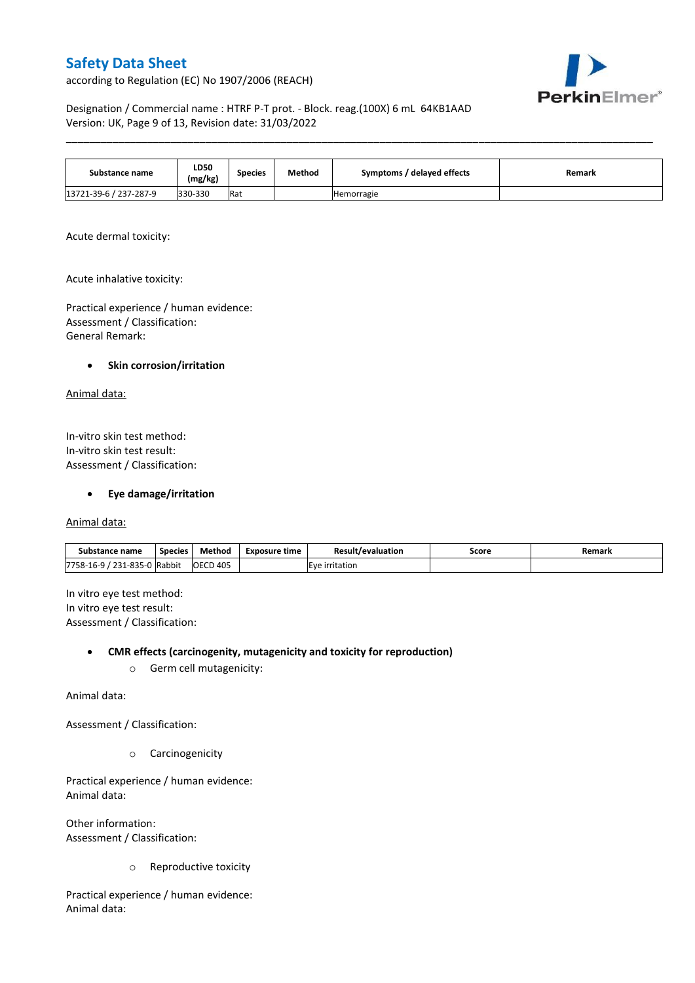according to Regulation (EC) No 1907/2006 (REACH)



Designation / Commercial name : HTRF P-T prot. - Block. reag.(100X) 6 mL 64KB1AAD Version: UK, Page 9 of 13, Revision date: 31/03/2022

| Substance name         | <b>LD50</b><br>(mg/kg) | <b>Species</b> | Method | Symptoms / delayed effects | Remark |  |  |
|------------------------|------------------------|----------------|--------|----------------------------|--------|--|--|
| 13721-39-6 / 237-287-9 | 330-330                | Rat            |        | Hemorragie                 |        |  |  |

\_\_\_\_\_\_\_\_\_\_\_\_\_\_\_\_\_\_\_\_\_\_\_\_\_\_\_\_\_\_\_\_\_\_\_\_\_\_\_\_\_\_\_\_\_\_\_\_\_\_\_\_\_\_\_\_\_\_\_\_\_\_\_\_\_\_\_\_\_\_\_\_\_\_\_\_\_\_\_\_\_\_\_\_\_\_\_\_\_\_\_\_\_\_\_\_\_\_\_\_\_

Acute dermal toxicity:

Acute inhalative toxicity:

Practical experience / human evidence: Assessment / Classification: General Remark:

#### **•** Skin corrosion/irritation

Animal data:

In-vitro skin test method: In-vitro skin test result: Assessment / Classification:

**Eye damage/irritation**

Animal data:

| name:<br>substance                                                    | <b>Species</b> | Method          | Exposure time  | Result/evaluation | Score | Remark |
|-----------------------------------------------------------------------|----------------|-----------------|----------------|-------------------|-------|--------|
| 7758-16-9<br>ODE<br>$\mathcal{L}$<br>1-85.<br>¬-<br>- - -<br>JU<br>∸∽ | Rabbit         | <b>OECD 405</b> | . .<br>itation |                   |       |        |

In vitro eye test method: In vitro eye test result: Assessment / Classification:

**CMR effects (carcinogenity, mutagenicity and toxicity for reproduction)**

o Germ cell mutagenicity:

Animal data:

Assessment / Classification:

o Carcinogenicity

Practical experience / human evidence: Animal data:

Other information: Assessment / Classification:

o Reproductive toxicity

Practical experience / human evidence: Animal data: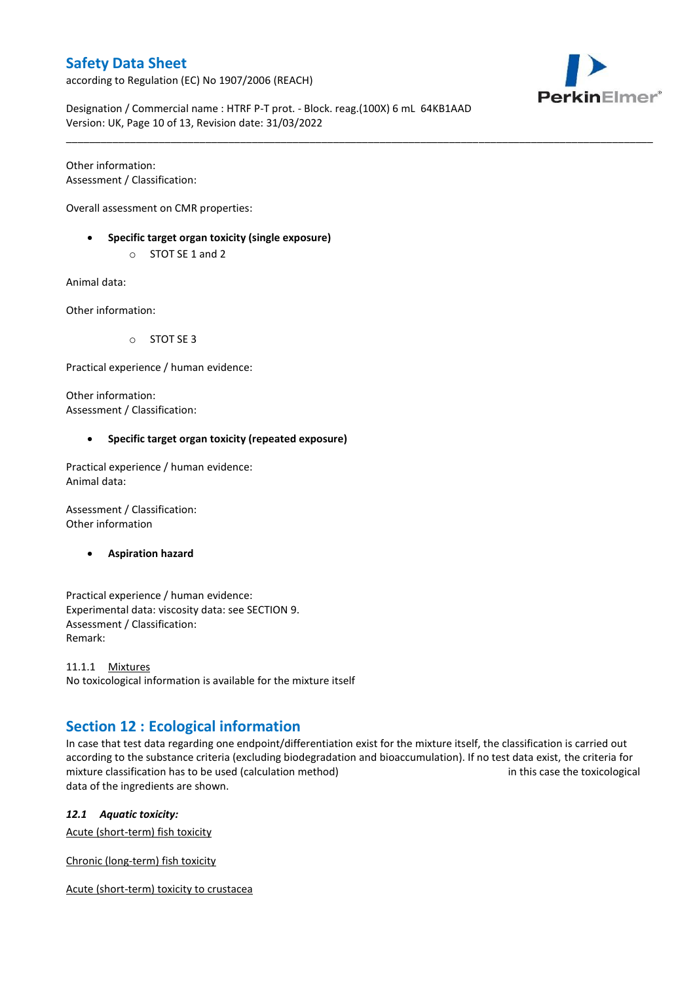according to Regulation (EC) No 1907/2006 (REACH)



Designation / Commercial name : HTRF P-T prot. - Block. reag.(100X) 6 mL 64KB1AAD Version: UK, Page 10 of 13, Revision date: 31/03/2022

\_\_\_\_\_\_\_\_\_\_\_\_\_\_\_\_\_\_\_\_\_\_\_\_\_\_\_\_\_\_\_\_\_\_\_\_\_\_\_\_\_\_\_\_\_\_\_\_\_\_\_\_\_\_\_\_\_\_\_\_\_\_\_\_\_\_\_\_\_\_\_\_\_\_\_\_\_\_\_\_\_\_\_\_\_\_\_\_\_\_\_\_\_\_\_\_\_\_\_\_\_

Other information: Assessment / Classification:

Overall assessment on CMR properties:

- **Specific target organ toxicity (single exposure)**
	- o STOT SE 1 and 2

Animal data:

Other information:

o STOT SE 3

Practical experience / human evidence:

Other information: Assessment / Classification:

### **Specific target organ toxicity (repeated exposure)**

Practical experience / human evidence: Animal data:

Assessment / Classification: Other information

**Aspiration hazard**

Practical experience / human evidence: Experimental data: viscosity data: see SECTION 9. Assessment / Classification: Remark:

11.1.1 Mixtures No toxicological information is available for the mixture itself

## **Section 12 : Ecological information**

In case that test data regarding one endpoint/differentiation exist for the mixture itself, the classification is carried out according to the substance criteria (excluding biodegradation and bioaccumulation). If no test data exist, the criteria for mixture classification has to be used (calculation method) in this case the toxicological data of the ingredients are shown.

*12.1 Aquatic toxicity:* 

Acute (short-term) fish toxicity

Chronic (long-term) fish toxicity

Acute (short-term) toxicity to crustacea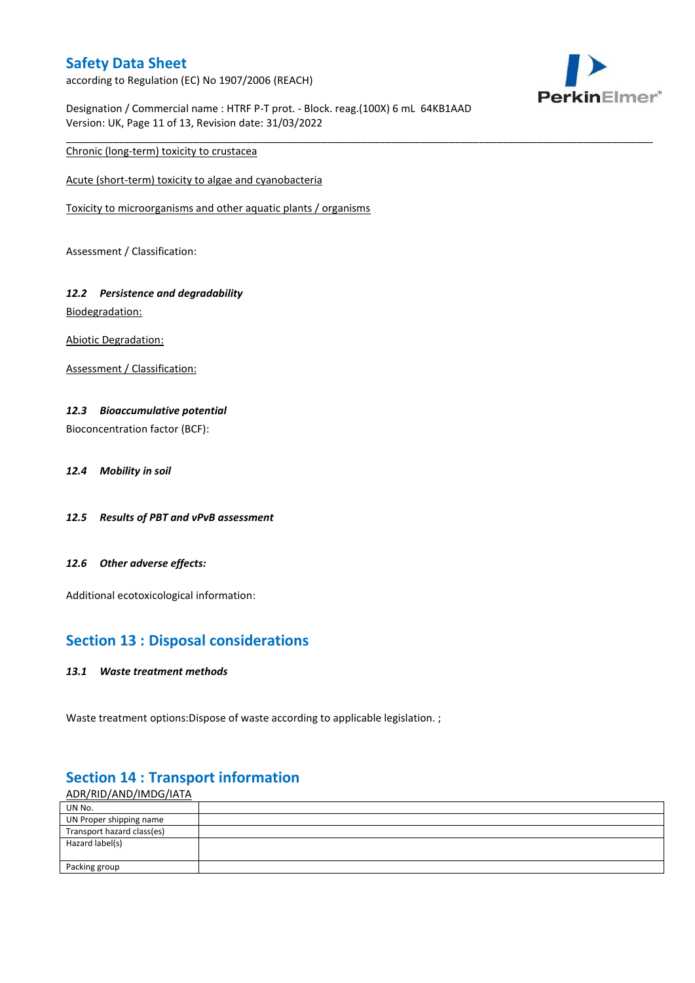according to Regulation (EC) No 1907/2006 (REACH)



Designation / Commercial name : HTRF P-T prot. - Block. reag.(100X) 6 mL 64KB1AAD Version: UK, Page 11 of 13, Revision date: 31/03/2022

\_\_\_\_\_\_\_\_\_\_\_\_\_\_\_\_\_\_\_\_\_\_\_\_\_\_\_\_\_\_\_\_\_\_\_\_\_\_\_\_\_\_\_\_\_\_\_\_\_\_\_\_\_\_\_\_\_\_\_\_\_\_\_\_\_\_\_\_\_\_\_\_\_\_\_\_\_\_\_\_\_\_\_\_\_\_\_\_\_\_\_\_\_\_\_\_\_\_\_\_\_

Chronic (long-term) toxicity to crustacea

Acute (short-term) toxicity to algae and cyanobacteria

Toxicity to microorganisms and other aquatic plants / organisms

Assessment / Classification:

# *12.2 Persistence and degradability*

Biodegradation:

Abiotic Degradation:

Assessment / Classification:

### *12.3 Bioaccumulative potential*

Bioconcentration factor (BCF):

- *12.4 Mobility in soil*
- *12.5 Results of PBT and vPvB assessment*
- *12.6 Other adverse effects:*

Additional ecotoxicological information:

## **Section 13 : Disposal considerations**

#### *13.1 Waste treatment methods*

Waste treatment options: Dispose of waste according to applicable legislation. ;

## ADR/RID/AND/IMDG/IATA UN No. UN Proper shipping name Transport hazard class(es) Hazard label(s) Packing group

## **Section 14 : Transport information**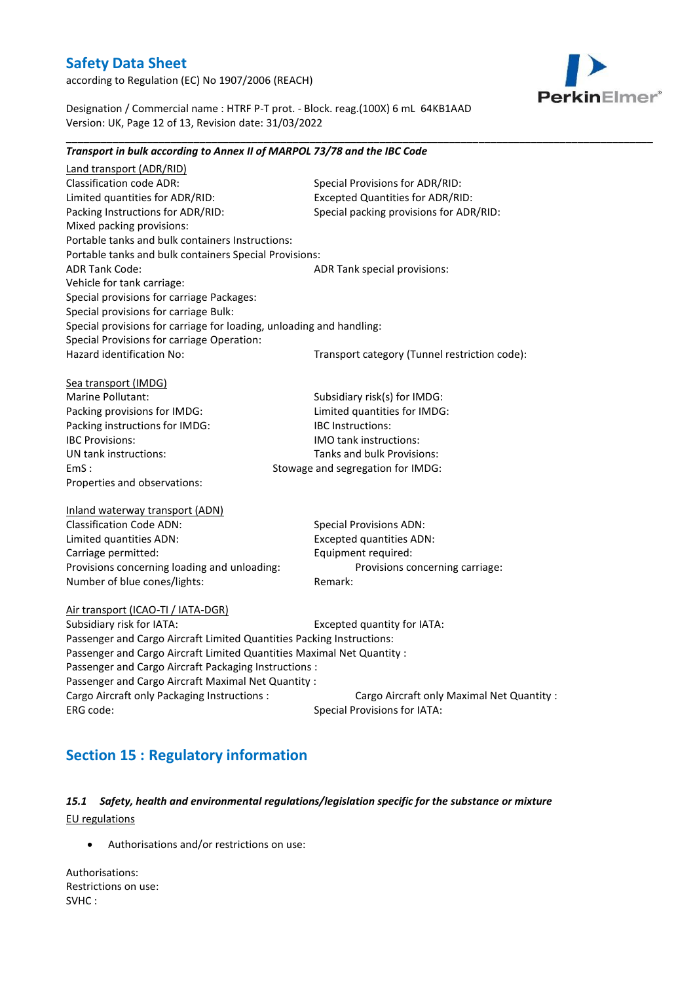according to Regulation (EC) No 1907/2006 (REACH)



Designation / Commercial name : HTRF P-T prot. - Block. reag.(100X) 6 mL 64KB1AAD Version: UK, Page 12 of 13, Revision date: 31/03/2022

*Transport in bulk according to Annex II of MARPOL 73/78 and the IBC Code*

\_\_\_\_\_\_\_\_\_\_\_\_\_\_\_\_\_\_\_\_\_\_\_\_\_\_\_\_\_\_\_\_\_\_\_\_\_\_\_\_\_\_\_\_\_\_\_\_\_\_\_\_\_\_\_\_\_\_\_\_\_\_\_\_\_\_\_\_\_\_\_\_\_\_\_\_\_\_\_\_\_\_\_\_\_\_\_\_\_\_\_\_\_\_\_\_\_\_\_\_\_

## Land transport (ADR/RID) Classification code ADR: Special Provisions for ADR/RID: Limited quantities for ADR/RID: Excepted Quantities for ADR/RID: Packing Instructions for ADR/RID: Special packing provisions for ADR/RID: Mixed packing provisions: Portable tanks and bulk containers Instructions: Portable tanks and bulk containers Special Provisions: ADR Tank Code: ADR Tank special provisions: Vehicle for tank carriage: Special provisions for carriage Packages: Special provisions for carriage Bulk: Special provisions for carriage for loading, unloading and handling: Special Provisions for carriage Operation: Hazard identification No: Transport category (Tunnel restriction code): Sea transport (IMDG) Marine Pollutant: Subsidiary risk(s) for IMDG: Packing provisions for IMDG: Limited quantities for IMDG: Packing instructions for IMDG: IBC Instructions: IBC Provisions: IMO tank instructions: UN tank instructions: Tanks and bulk Provisions: EmS : Stowage and segregation for IMDG: Properties and observations: Inland waterway transport (ADN) Classification Code ADN: Special Provisions ADN: Limited quantities ADN: Excepted quantities ADN: Carriage permitted: Equipment required: Provisions concerning loading and unloading: Provisions concerning carriage: Number of blue cones/lights: Remark: Air transport (ICAO-TI / IATA-DGR) Subsidiary risk for IATA: Excepted quantity for IATA: Passenger and Cargo Aircraft Limited Quantities Packing Instructions: Passenger and Cargo Aircraft Limited Quantities Maximal Net Quantity : Passenger and Cargo Aircraft Packaging Instructions : Passenger and Cargo Aircraft Maximal Net Quantity : Cargo Aircraft only Packaging Instructions : Cargo Aircraft only Maximal Net Quantity : ERG code: Special Provisions for IATA:

# **Section 15 : Regulatory information**

## *15.1 Safety, health and environmental regulations/legislation specific for the substance or mixture* EU regulations

Authorisations and/or restrictions on use:

Authorisations: Restrictions on use: SVHC :